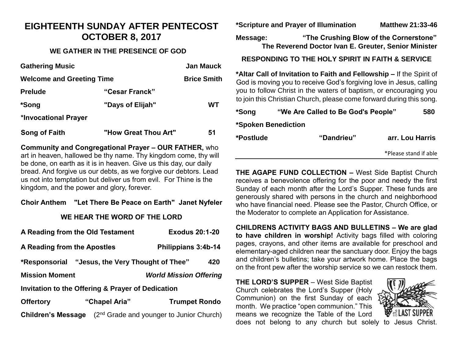### **EIGHTEENTH SUNDAY AFTER PENTECOST OCTOBER 8, 2017**

#### **WE GATHER IN THE PRESENCE OF GOD**

| <b>Gathering Music</b>           |                      | <b>Jan Mauck</b>   |
|----------------------------------|----------------------|--------------------|
| <b>Welcome and Greeting Time</b> |                      | <b>Brice Smith</b> |
| <b>Prelude</b>                   | "Cesar Franck"       |                    |
| *Song                            | "Days of Elijah"     | WТ                 |
| *Invocational Prayer             |                      |                    |
| Song of Faith                    | "How Great Thou Art" | 51                 |

**Community and Congregational Prayer – OUR FATHER,** who art in heaven, hallowed be thy name. Thy kingdom come, thy will be done, on earth as it is in heaven. Give us this day, our daily bread. And forgive us our debts, as we forgive our debtors. Lead us not into temptation but deliver us from evil. For Thine is the kingdom, and the power and glory, forever.

#### **Choir Anthem "Let There Be Peace on Earth" Janet Nyfeler**

#### **WE HEAR THE WORD OF THE LORD**

| A Reading from the Old Testament                          |               | <b>Exodus 20:1-20</b>                      |  |  |
|-----------------------------------------------------------|---------------|--------------------------------------------|--|--|
| A Reading from the Apostles                               |               | Philippians 3:4b-14                        |  |  |
| "Jesus, the Very Thought of Thee"<br>420<br>*Responsorial |               |                                            |  |  |
| <b>Mission Moment</b>                                     |               | <b>World Mission Offering</b>              |  |  |
| Invitation to the Offering & Prayer of Dedication         |               |                                            |  |  |
| <b>Offertory</b>                                          | "Chapel Aria" | <b>Trumpet Rondo</b>                       |  |  |
| <b>Children's Message</b>                                 |               | $(2nd$ Grade and younger to Junior Church) |  |  |

**\*Scripture and Prayer of Illumination Matthew 21:33-46**

**Message: "The Crushing Blow of the Cornerstone" The Reverend Doctor Ivan E. Greuter, Senior Minister**

#### **RESPONDING TO THE HOLY SPIRIT IN FAITH & SERVICE**

**\*Altar Call of Invitation to Faith and Fellowship –** If the Spirit of God is moving you to receive God's forgiving love in Jesus, calling you to follow Christ in the waters of baptism, or encouraging you to join this Christian Church, please come forward during this song.

| *Song     | "We Are Called to Be God's People" | 580                   |
|-----------|------------------------------------|-----------------------|
|           | *Spoken Benediction                |                       |
| *Postlude | "Dandrieu"                         | arr. Lou Harris       |
|           |                                    | *Please stand if able |

**THE AGAPE FUND COLLECTION –** West Side Baptist Church receives a benevolence offering for the poor and needy the first Sunday of each month after the Lord's Supper. These funds are generously shared with persons in the church and neighborhood who have financial need. Please see the Pastor, Church Office, or the Moderator to complete an Application for Assistance.

**CHILDRENS ACTIVITY BAGS AND BULLETINS – We are glad to have children in worship!** Activity bags filled with coloring pages, crayons, and other items are available for preschool and elementary-aged children near the sanctuary door. Enjoy the bags and children's bulletins; take your artwork home. Place the bags on the front pew after the worship service so we can restock them.

**THE LORD'S SUPPER** – West Side Baptist Church celebrates the Lord's Supper (Holy Communion) on the first Sunday of each month. We practice "open communion." This means we recognize the Table of the Lord



does not belong to any church but solely to Jesus Christ.